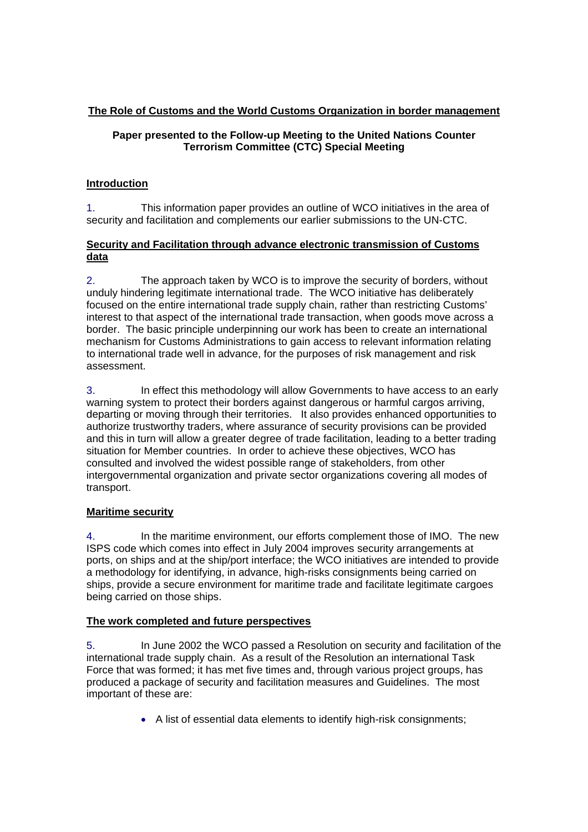# **The Role of Customs and the World Customs Organization in border management**

## **Paper presented to the Follow-up Meeting to the United Nations Counter Terrorism Committee (CTC) Special Meeting**

## **Introduction**

1. This information paper provides an outline of WCO initiatives in the area of security and facilitation and complements our earlier submissions to the UN-CTC.

#### **Security and Facilitation through advance electronic transmission of Customs data**

2. The approach taken by WCO is to improve the security of borders, without unduly hindering legitimate international trade. The WCO initiative has deliberately focused on the entire international trade supply chain, rather than restricting Customs' interest to that aspect of the international trade transaction, when goods move across a border. The basic principle underpinning our work has been to create an international mechanism for Customs Administrations to gain access to relevant information relating to international trade well in advance, for the purposes of risk management and risk assessment.

3. In effect this methodology will allow Governments to have access to an early warning system to protect their borders against dangerous or harmful cargos arriving, departing or moving through their territories. It also provides enhanced opportunities to authorize trustworthy traders, where assurance of security provisions can be provided and this in turn will allow a greater degree of trade facilitation, leading to a better trading situation for Member countries. In order to achieve these objectives, WCO has consulted and involved the widest possible range of stakeholders, from other intergovernmental organization and private sector organizations covering all modes of transport.

## **Maritime security**

4. In the maritime environment, our efforts complement those of IMO. The new ISPS code which comes into effect in July 2004 improves security arrangements at ports, on ships and at the ship/port interface; the WCO initiatives are intended to provide a methodology for identifying, in advance, high-risks consignments being carried on ships, provide a secure environment for maritime trade and facilitate legitimate cargoes being carried on those ships.

## **The work completed and future perspectives**

5. In June 2002 the WCO passed a Resolution on security and facilitation of the international trade supply chain. As a result of the Resolution an international Task Force that was formed; it has met five times and, through various project groups, has produced a package of security and facilitation measures and Guidelines. The most important of these are:

• A list of essential data elements to identify high-risk consignments;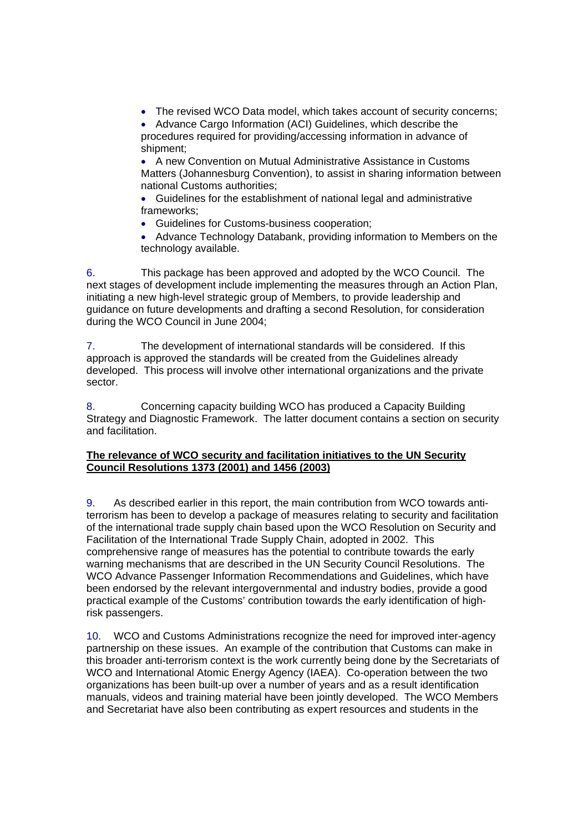• The revised WCO Data model, which takes account of security concerns;

• Advance Cargo Information (ACI) Guidelines, which describe the procedures required for providing/accessing information in advance of shipment;

• A new Convention on Mutual Administrative Assistance in Customs Matters (Johannesburg Convention), to assist in sharing information between national Customs authorities;

• Guidelines for the establishment of national legal and administrative frameworks;

• Guidelines for Customs-business cooperation;

• Advance Technology Databank, providing information to Members on the technology available.

6. This package has been approved and adopted by the WCO Council. The next stages of development include implementing the measures through an Action Plan, initiating a new high-level strategic group of Members, to provide leadership and guidance on future developments and drafting a second Resolution, for consideration during the WCO Council in June 2004;

7. The development of international standards will be considered. If this approach is approved the standards will be created from the Guidelines already developed. This process will involve other international organizations and the private sector.

8. Concerning capacity building WCO has produced a Capacity Building Strategy and Diagnostic Framework. The latter document contains a section on security and facilitation.

## **The relevance of WCO security and facilitation initiatives to the UN Security Council Resolutions 1373 (2001) and 1456 (2003)**

9. As described earlier in this report, the main contribution from WCO towards antiterrorism has been to develop a package of measures relating to security and facilitation of the international trade supply chain based upon the WCO Resolution on Security and Facilitation of the International Trade Supply Chain, adopted in 2002. This comprehensive range of measures has the potential to contribute towards the early warning mechanisms that are described in the UN Security Council Resolutions. The WCO Advance Passenger Information Recommendations and Guidelines, which have been endorsed by the relevant intergovernmental and industry bodies, provide a good practical example of the Customs' contribution towards the early identification of highrisk passengers.

10. WCO and Customs Administrations recognize the need for improved inter-agency partnership on these issues. An example of the contribution that Customs can make in this broader anti-terrorism context is the work currently being done by the Secretariats of WCO and International Atomic Energy Agency (IAEA). Co-operation between the two organizations has been built-up over a number of years and as a result identification manuals, videos and training material have been jointly developed. The WCO Members and Secretariat have also been contributing as expert resources and students in the